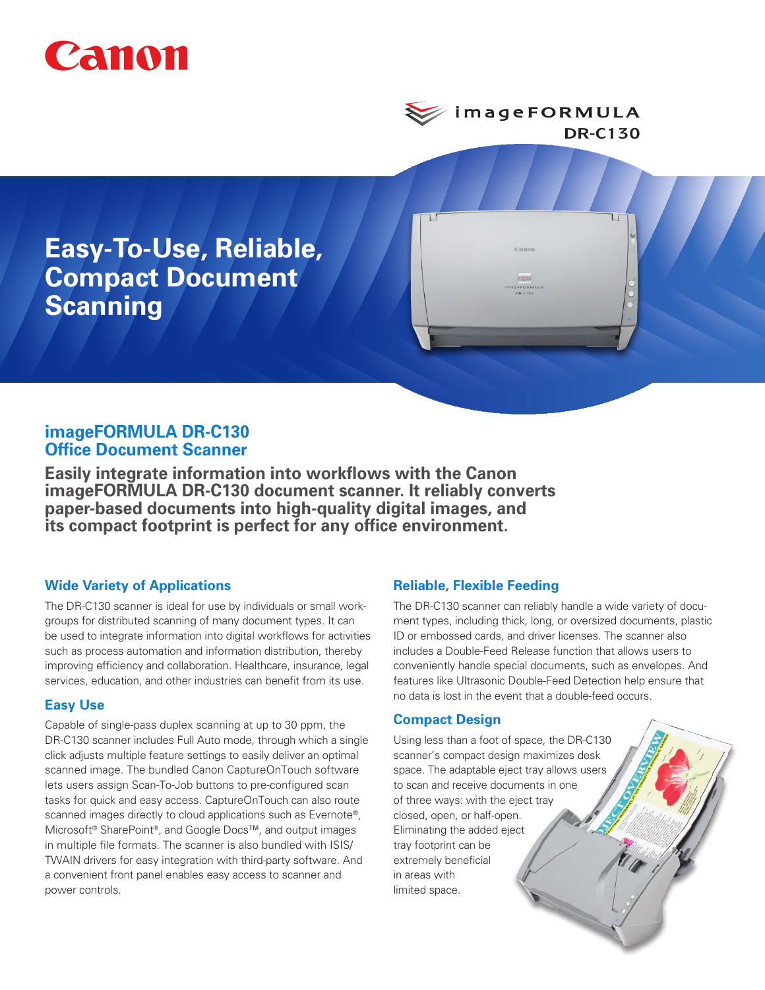

*i* mage FOR MULA **DR-C130**

**Easy-To-Use, Reliable, Compact Document Scanning**

# **imageFORMULA DR-C130 Office Document Scanner**

**Easily integrate information into workflows with the Canon imageFORMULA DR-C130 document scanner. It reliably converts paper-based documents into high-quality digital images, and its compact footprint is perfect for any office environment.**

# **Wide Variety of Applications**

The DR-C130 scanner is ideal for use by individuals or small workgroups for distributed scanning of many document types. It can be used to integrate information into digital workflows for activities such as process automation and information distribution, thereby improving efficiency and collaboration. Healthcare, insurance, legal services, education, and other industries can benefit from its use.

### **Easy Use**

Capable of single-pass duplex scanning at up to 30 ppm, the DR-C130 scanner includes Full Auto mode, through which a single click adjusts multiple feature settings to easily deliver an optimal scanned image. The bundled Canon CaptureOnTouch software lets users assign Scan-To-Job buttons to pre-configured scan tasks for quick and easy access. CaptureOnTouch can also route scanned images directly to cloud applications such as Evernote®, Microsoft® SharePoint®, and Google Docs™, and output images in multiple file formats. The scanner is also bundled with ISIS/ TWAIN drivers for easy integration with third-party software. And a convenient front panel enables easy access to scanner and power controls.

# **Reliable, Flexible Feeding**

The DR-C130 scanner can reliably handle a wide variety of document types, including thick, long, or oversized documents, plastic ID or embossed cards, and driver licenses. The scanner also includes a Double-Feed Release function that allows users to conveniently handle special documents, such as envelopes. And features like Ultrasonic Double-Feed Detection help ensure that no data is lost in the event that a double-feed occurs.

### **Compact Design**

Using less than a foot of space, the DR-C130 scanner's compact design maximizes desk space. The adaptable eject tray allows users to scan and receive documents in one of three ways: with the eject tray closed, open, or half-open. Eliminating the added eject tray footprint can be extremely beneficial in areas with limited space.